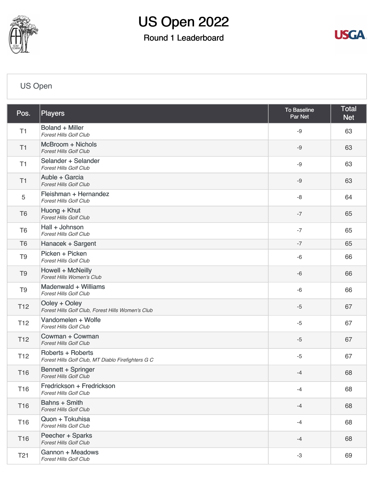

#### Round 1 Leaderboard



#### [US Open](https://static.golfgenius.com/v2tournaments/8573179814050031115?called_from=&round_index=1)

| Pos.            | <b>Players</b>                                                          | <b>To Baseline</b><br>Par Net | <b>Total</b><br><b>Net</b> |
|-----------------|-------------------------------------------------------------------------|-------------------------------|----------------------------|
| T1              | Boland + Miller<br><b>Forest Hills Golf Club</b>                        | $-9$                          | 63                         |
| T1              | McBroom + Nichols<br><b>Forest Hills Golf Club</b>                      | $-9$                          | 63                         |
| T1              | Selander + Selander<br><b>Forest Hills Golf Club</b>                    | $-9$                          | 63                         |
| T1              | Auble + Garcia<br><b>Forest Hills Golf Club</b>                         | $-9$                          | 63                         |
| 5               | Fleishman + Hernandez<br><b>Forest Hills Golf Club</b>                  | $-8$                          | 64                         |
| T <sub>6</sub>  | Huong + Khut<br><b>Forest Hills Golf Club</b>                           | $-7$                          | 65                         |
| T <sub>6</sub>  | Hall + Johnson<br><b>Forest Hills Golf Club</b>                         | $-7$                          | 65                         |
| T <sub>6</sub>  | Hanacek + Sargent                                                       | $-7$                          | 65                         |
| T <sub>9</sub>  | Picken + Picken<br><b>Forest Hills Golf Club</b>                        | $-6$                          | 66                         |
| T <sub>9</sub>  | Howell + McNeilly<br>Forest Hills Women's Club                          | $-6$                          | 66                         |
| T <sub>9</sub>  | Madenwald + Williams<br><b>Forest Hills Golf Club</b>                   | $-6$                          | 66                         |
| T <sub>12</sub> | Ooley + Ooley<br>Forest Hills Golf Club, Forest Hills Women's Club      | $-5$                          | 67                         |
| T <sub>12</sub> | Vandomelen + Wolfe<br><b>Forest Hills Golf Club</b>                     | $-5$                          | 67                         |
| T <sub>12</sub> | Cowman + Cowman<br><b>Forest Hills Golf Club</b>                        | $-5$                          | 67                         |
| T <sub>12</sub> | Roberts + Roberts<br>Forest Hills Golf Club, MT Diablo Firefighters G C | $-5$                          | 67                         |
| T16             | <b>Bennett + Springer</b><br><b>Forest Hills Golf Club</b>              | $-4$                          | 68                         |
| T16             | Fredrickson + Fredrickson<br><b>Forest Hills Golf Club</b>              | $-4$                          | 68                         |
| T16             | Bahns + Smith<br><b>Forest Hills Golf Club</b>                          | $-4$                          | 68                         |
| T16             | Quon + Tokuhisa<br><b>Forest Hills Golf Club</b>                        | $-4$                          | 68                         |
| T16             | Peecher + Sparks<br><b>Forest Hills Golf Club</b>                       | $-4$                          | 68                         |
| T <sub>21</sub> | Gannon + Meadows<br><b>Forest Hills Golf Club</b>                       | $-3$                          | 69                         |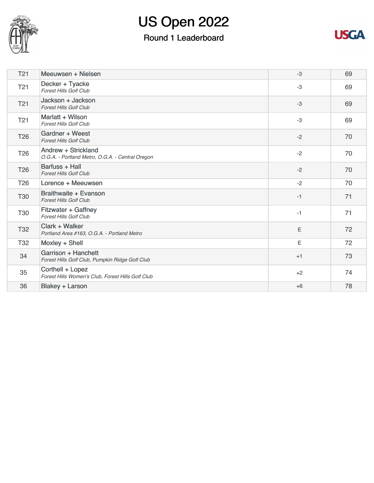

#### Round 1 Leaderboard



| <b>T21</b>      | Meeuwsen + Nielsen                                                      | $-3$ | 69 |
|-----------------|-------------------------------------------------------------------------|------|----|
| T <sub>21</sub> | Decker + Tyacke<br><b>Forest Hills Golf Club</b>                        | -3   | 69 |
| T21             | Jackson + Jackson<br><b>Forest Hills Golf Club</b>                      | $-3$ | 69 |
| T <sub>21</sub> | Marlatt + Wilson<br><b>Forest Hills Golf Club</b>                       | $-3$ | 69 |
| T <sub>26</sub> | Gardner + Weest<br><b>Forest Hills Golf Club</b>                        | $-2$ | 70 |
| T <sub>26</sub> | Andrew + Strickland<br>O.G.A. - Portland Metro, O.G.A. - Central Oregon | $-2$ | 70 |
| T <sub>26</sub> | Barfuss + Hall<br><b>Forest Hills Golf Club</b>                         | $-2$ | 70 |
| T <sub>26</sub> | Lorence + Meeuwsen                                                      | $-2$ | 70 |
| <b>T30</b>      | Braithwaite + Evanson<br><b>Forest Hills Golf Club</b>                  | $-1$ | 71 |
| <b>T30</b>      | <b>Fitzwater + Gaffney</b><br><b>Forest Hills Golf Club</b>             | $-1$ | 71 |
| T32             | Clark + Walker<br>Portland Area #163, O.G.A. - Portland Metro           | Ε    | 72 |
| T32             | Moxley + Shell                                                          | Ε    | 72 |
| 34              | Garrison + Hanchett<br>Forest Hills Golf Club, Pumpkin Ridge Golf Club  | $+1$ | 73 |
| 35              | Corthell + Lopez<br>Forest Hills Women's Club, Forest Hills Golf Club   | $+2$ | 74 |
| 36              | <b>Blakey + Larson</b>                                                  | $+6$ | 78 |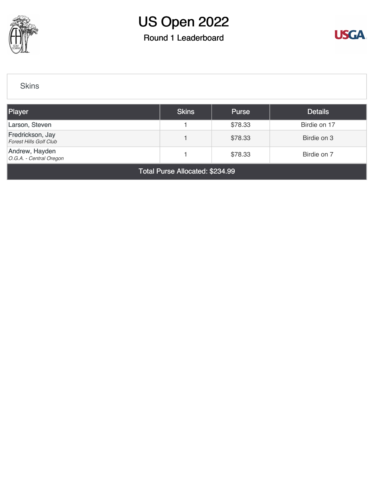

#### Round 1 Leaderboard



**[Skins](https://static.golfgenius.com/v2tournaments/8573182313419007500?called_from=&round_index=1)** 

| Player                                            | <b>Skins</b> | <b>Purse</b> | <b>Details</b> |
|---------------------------------------------------|--------------|--------------|----------------|
| Larson, Steven                                    |              | \$78.33      | Birdie on 17   |
| Fredrickson, Jay<br><b>Forest Hills Golf Club</b> |              | \$78.33      | Birdie on 3    |
| Andrew, Hayden<br>O.G.A. - Central Oregon         |              | \$78.33      | Birdie on 7    |
| Total Purse Allocated: \$234.99                   |              |              |                |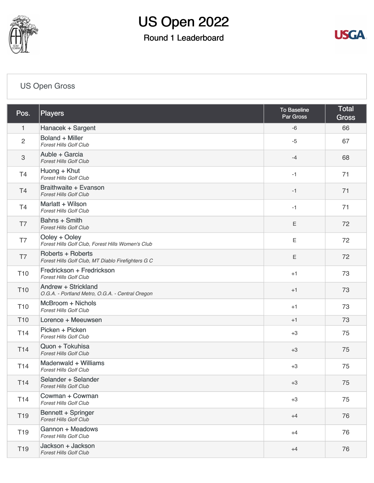

#### Round 1 Leaderboard



#### [US Open Gross](https://static.golfgenius.com/v2tournaments/8576280697088534115?called_from=&round_index=1)

| Pos.                      | <b>Players</b>                                                          | <b>To Baseline</b><br>Par Gross | <b>Total</b><br><b>Gross</b> |
|---------------------------|-------------------------------------------------------------------------|---------------------------------|------------------------------|
| $\mathbf{1}$              | Hanacek + Sargent                                                       | $-6$                            | 66                           |
| $\overline{c}$            | <b>Boland + Miller</b><br><b>Forest Hills Golf Club</b>                 | $-5$                            | 67                           |
| $\ensuremath{\mathsf{3}}$ | Auble + Garcia<br><b>Forest Hills Golf Club</b>                         | $-4$                            | 68                           |
| T <sub>4</sub>            | Huong + Khut<br><b>Forest Hills Golf Club</b>                           | $-1$                            | 71                           |
| T <sub>4</sub>            | Braithwaite + Evanson<br><b>Forest Hills Golf Club</b>                  | $-1$                            | 71                           |
| T <sub>4</sub>            | Marlatt + Wilson<br><b>Forest Hills Golf Club</b>                       | $-1$                            | 71                           |
| T7                        | Bahns + Smith<br><b>Forest Hills Golf Club</b>                          | E                               | 72                           |
| T7                        | Ooley + Ooley<br>Forest Hills Golf Club, Forest Hills Women's Club      | Ε                               | 72                           |
| T7                        | Roberts + Roberts<br>Forest Hills Golf Club, MT Diablo Firefighters G C | Ε                               | 72                           |
| T <sub>10</sub>           | Fredrickson + Fredrickson<br><b>Forest Hills Golf Club</b>              | $+1$                            | 73                           |
| T <sub>10</sub>           | Andrew + Strickland<br>O.G.A. - Portland Metro, O.G.A. - Central Oregon | $+1$                            | 73                           |
| T <sub>10</sub>           | McBroom + Nichols<br><b>Forest Hills Golf Club</b>                      | $+1$                            | 73                           |
| T <sub>10</sub>           | Lorence + Meeuwsen                                                      | $+1$                            | 73                           |
| T <sub>14</sub>           | Picken + Picken<br><b>Forest Hills Golf Club</b>                        | $+3$                            | 75                           |
| T <sub>14</sub>           | Quon + Tokuhisa<br><b>Forest Hills Golf Club</b>                        | $+3$                            | 75                           |
| T <sub>14</sub>           | Madenwald + Williams<br><b>Forest Hills Golf Club</b>                   | $+3$                            | 75                           |
| T <sub>14</sub>           | Selander + Selander<br><b>Forest Hills Golf Club</b>                    | $+3$                            | 75                           |
| T <sub>14</sub>           | Cowman + Cowman<br><b>Forest Hills Golf Club</b>                        | $+3$                            | 75                           |
| T <sub>19</sub>           | <b>Bennett + Springer</b><br><b>Forest Hills Golf Club</b>              | $+4$                            | 76                           |
| T <sub>19</sub>           | Gannon + Meadows<br><b>Forest Hills Golf Club</b>                       | $+4$                            | 76                           |
| T <sub>19</sub>           | Jackson + Jackson<br><b>Forest Hills Golf Club</b>                      | $+4$                            | 76                           |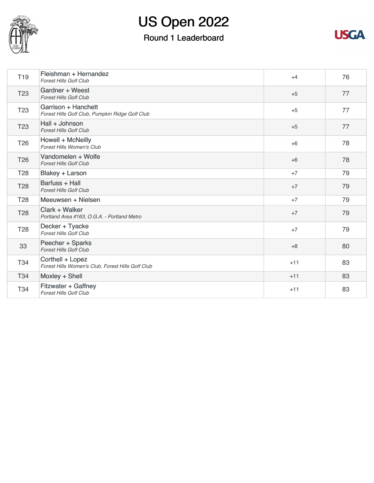

#### Round 1 Leaderboard



| T <sub>19</sub> | Fleishman + Hernandez<br><b>Forest Hills Golf Club</b>                 | $+4$  | 76 |
|-----------------|------------------------------------------------------------------------|-------|----|
| T <sub>23</sub> | <b>Gardner + Weest</b><br><b>Forest Hills Golf Club</b>                | $+5$  | 77 |
| T <sub>23</sub> | Garrison + Hanchett<br>Forest Hills Golf Club, Pumpkin Ridge Golf Club | $+5$  | 77 |
| T <sub>23</sub> | Hall + Johnson<br><b>Forest Hills Golf Club</b>                        | $+5$  | 77 |
| T <sub>26</sub> | Howell + McNeilly<br><b>Forest Hills Women's Club</b>                  | $+6$  | 78 |
| T <sub>26</sub> | Vandomelen + Wolfe<br><b>Forest Hills Golf Club</b>                    | $+6$  | 78 |
| <b>T28</b>      | <b>Blakey + Larson</b>                                                 | $+7$  | 79 |
| <b>T28</b>      | Barfuss + Hall<br><b>Forest Hills Golf Club</b>                        | $+7$  | 79 |
| <b>T28</b>      | Meeuwsen + Nielsen                                                     | $+7$  | 79 |
| <b>T28</b>      | Clark + Walker<br>Portland Area #163, O.G.A. - Portland Metro          | $+7$  | 79 |
| <b>T28</b>      | Decker + Tyacke<br><b>Forest Hills Golf Club</b>                       | $+7$  | 79 |
| 33              | Peecher + Sparks<br><b>Forest Hills Golf Club</b>                      | $+8$  | 80 |
| T34             | Corthell + Lopez<br>Forest Hills Women's Club, Forest Hills Golf Club  | $+11$ | 83 |
| <b>T34</b>      | Moxley + Shell                                                         | $+11$ | 83 |
| T34             | <b>Fitzwater + Gaffney</b><br><b>Forest Hills Golf Club</b>            | $+11$ | 83 |